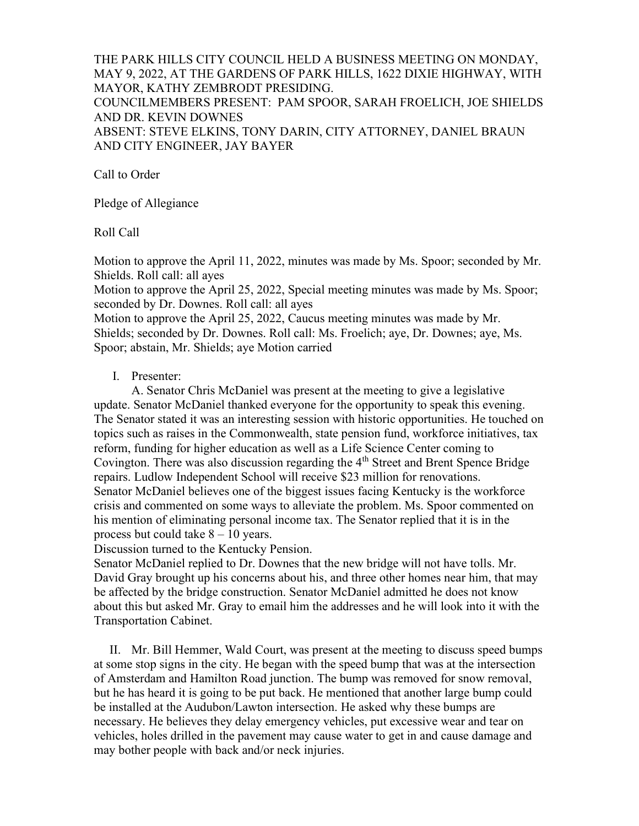#### THE PARK HILLS CITY COUNCIL HELD A BUSINESS MEETING ON MONDAY, MAY 9, 2022, AT THE GARDENS OF PARK HILLS, 1622 DIXIE HIGHWAY, WITH MAYOR, KATHY ZEMBRODT PRESIDING.

COUNCILMEMBERS PRESENT: PAM SPOOR, SARAH FROELICH, JOE SHIELDS AND DR. KEVIN DOWNES

ABSENT: STEVE ELKINS, TONY DARIN, CITY ATTORNEY, DANIEL BRAUN AND CITY ENGINEER, JAY BAYER

Call to Order

Pledge of Allegiance

Roll Call

Motion to approve the April 11, 2022, minutes was made by Ms. Spoor; seconded by Mr. Shields. Roll call: all ayes

Motion to approve the April 25, 2022, Special meeting minutes was made by Ms. Spoor; seconded by Dr. Downes. Roll call: all ayes

Motion to approve the April 25, 2022, Caucus meeting minutes was made by Mr. Shields; seconded by Dr. Downes. Roll call: Ms. Froelich; aye, Dr. Downes; aye, Ms. Spoor; abstain, Mr. Shields; aye Motion carried

#### I. Presenter:

 A. Senator Chris McDaniel was present at the meeting to give a legislative update. Senator McDaniel thanked everyone for the opportunity to speak this evening. The Senator stated it was an interesting session with historic opportunities. He touched on topics such as raises in the Commonwealth, state pension fund, workforce initiatives, tax reform, funding for higher education as well as a Life Science Center coming to Covington. There was also discussion regarding the 4<sup>th</sup> Street and Brent Spence Bridge repairs. Ludlow Independent School will receive \$23 million for renovations. Senator McDaniel believes one of the biggest issues facing Kentucky is the workforce crisis and commented on some ways to alleviate the problem. Ms. Spoor commented on his mention of eliminating personal income tax. The Senator replied that it is in the process but could take  $8 - 10$  years.

Discussion turned to the Kentucky Pension.

Senator McDaniel replied to Dr. Downes that the new bridge will not have tolls. Mr. David Gray brought up his concerns about his, and three other homes near him, that may be affected by the bridge construction. Senator McDaniel admitted he does not know about this but asked Mr. Gray to email him the addresses and he will look into it with the Transportation Cabinet.

 II. Mr. Bill Hemmer, Wald Court, was present at the meeting to discuss speed bumps at some stop signs in the city. He began with the speed bump that was at the intersection of Amsterdam and Hamilton Road junction. The bump was removed for snow removal, but he has heard it is going to be put back. He mentioned that another large bump could be installed at the Audubon/Lawton intersection. He asked why these bumps are necessary. He believes they delay emergency vehicles, put excessive wear and tear on vehicles, holes drilled in the pavement may cause water to get in and cause damage and may bother people with back and/or neck injuries.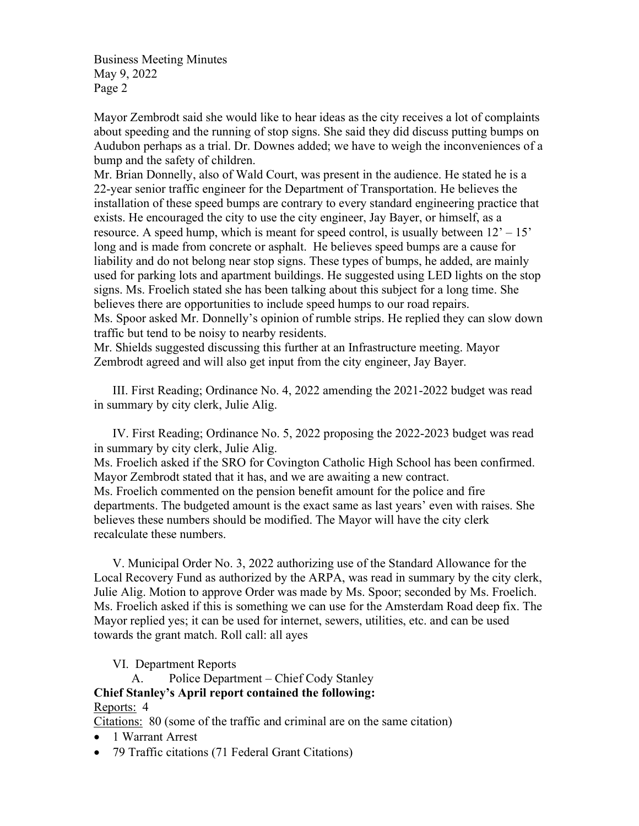Mayor Zembrodt said she would like to hear ideas as the city receives a lot of complaints about speeding and the running of stop signs. She said they did discuss putting bumps on Audubon perhaps as a trial. Dr. Downes added; we have to weigh the inconveniences of a bump and the safety of children.

Mr. Brian Donnelly, also of Wald Court, was present in the audience. He stated he is a 22-year senior traffic engineer for the Department of Transportation. He believes the installation of these speed bumps are contrary to every standard engineering practice that exists. He encouraged the city to use the city engineer, Jay Bayer, or himself, as a resource. A speed hump, which is meant for speed control, is usually between  $12' - 15'$ long and is made from concrete or asphalt. He believes speed bumps are a cause for liability and do not belong near stop signs. These types of bumps, he added, are mainly used for parking lots and apartment buildings. He suggested using LED lights on the stop signs. Ms. Froelich stated she has been talking about this subject for a long time. She believes there are opportunities to include speed humps to our road repairs.

Ms. Spoor asked Mr. Donnelly's opinion of rumble strips. He replied they can slow down traffic but tend to be noisy to nearby residents.

Mr. Shields suggested discussing this further at an Infrastructure meeting. Mayor Zembrodt agreed and will also get input from the city engineer, Jay Bayer.

 III. First Reading; Ordinance No. 4, 2022 amending the 2021-2022 budget was read in summary by city clerk, Julie Alig.

 IV. First Reading; Ordinance No. 5, 2022 proposing the 2022-2023 budget was read in summary by city clerk, Julie Alig.

Ms. Froelich asked if the SRO for Covington Catholic High School has been confirmed. Mayor Zembrodt stated that it has, and we are awaiting a new contract. Ms. Froelich commented on the pension benefit amount for the police and fire departments. The budgeted amount is the exact same as last years' even with raises. She believes these numbers should be modified. The Mayor will have the city clerk recalculate these numbers.

 V. Municipal Order No. 3, 2022 authorizing use of the Standard Allowance for the Local Recovery Fund as authorized by the ARPA, was read in summary by the city clerk, Julie Alig. Motion to approve Order was made by Ms. Spoor; seconded by Ms. Froelich. Ms. Froelich asked if this is something we can use for the Amsterdam Road deep fix. The Mayor replied yes; it can be used for internet, sewers, utilities, etc. and can be used towards the grant match. Roll call: all ayes

VI. Department Reports

 A. Police Department – Chief Cody Stanley Chief Stanley's April report contained the following: Reports: 4

Citations: 80 (some of the traffic and criminal are on the same citation)

- 1 Warrant Arrest
- 79 Traffic citations (71 Federal Grant Citations)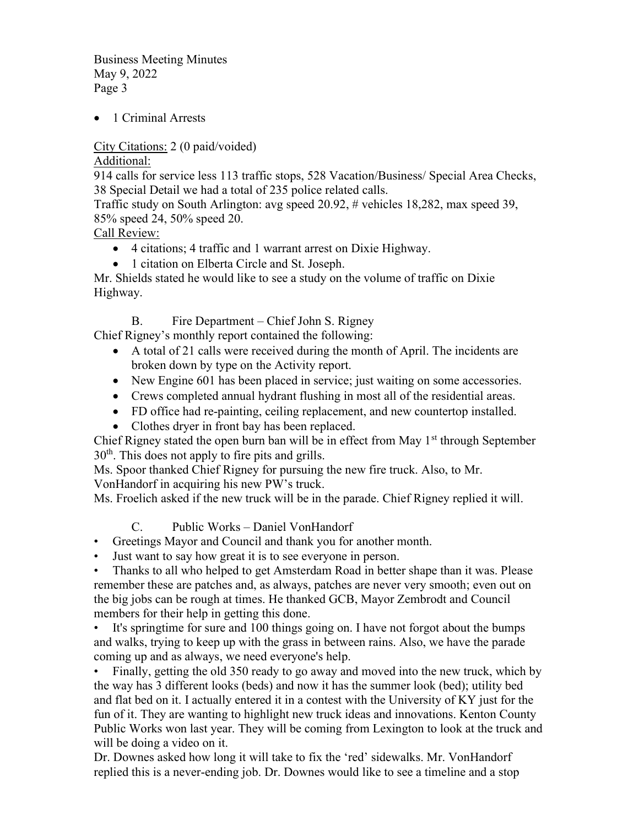• 1 Criminal Arrests

City Citations: 2 (0 paid/voided)

Additional:

914 calls for service less 113 traffic stops, 528 Vacation/Business/ Special Area Checks, 38 Special Detail we had a total of 235 police related calls.

Traffic study on South Arlington: avg speed 20.92, # vehicles 18,282, max speed 39, 85% speed 24, 50% speed 20.

Call Review:

- 4 citations; 4 traffic and 1 warrant arrest on Dixie Highway.
- 1 citation on Elberta Circle and St. Joseph.

Mr. Shields stated he would like to see a study on the volume of traffic on Dixie Highway.

B. Fire Department – Chief John S. Rigney

Chief Rigney's monthly report contained the following:

- A total of 21 calls were received during the month of April. The incidents are broken down by type on the Activity report.
- New Engine 601 has been placed in service; just waiting on some accessories.
- Crews completed annual hydrant flushing in most all of the residential areas.
- FD office had re-painting, ceiling replacement, and new countertop installed.
- Clothes dryer in front bay has been replaced.

Chief Rigney stated the open burn ban will be in effect from May  $1<sup>st</sup>$  through September  $30<sup>th</sup>$ . This does not apply to fire pits and grills.

Ms. Spoor thanked Chief Rigney for pursuing the new fire truck. Also, to Mr.

VonHandorf in acquiring his new PW's truck.

Ms. Froelich asked if the new truck will be in the parade. Chief Rigney replied it will.

C. Public Works – Daniel VonHandorf

- Greetings Mayor and Council and thank you for another month.
- Just want to say how great it is to see everyone in person.

• Thanks to all who helped to get Amsterdam Road in better shape than it was. Please remember these are patches and, as always, patches are never very smooth; even out on the big jobs can be rough at times. He thanked GCB, Mayor Zembrodt and Council members for their help in getting this done.

• It's springtime for sure and 100 things going on. I have not forgot about the bumps and walks, trying to keep up with the grass in between rains. Also, we have the parade coming up and as always, we need everyone's help.

• Finally, getting the old 350 ready to go away and moved into the new truck, which by the way has 3 different looks (beds) and now it has the summer look (bed); utility bed and flat bed on it. I actually entered it in a contest with the University of KY just for the fun of it. They are wanting to highlight new truck ideas and innovations. Kenton County Public Works won last year. They will be coming from Lexington to look at the truck and will be doing a video on it.

Dr. Downes asked how long it will take to fix the 'red' sidewalks. Mr. VonHandorf replied this is a never-ending job. Dr. Downes would like to see a timeline and a stop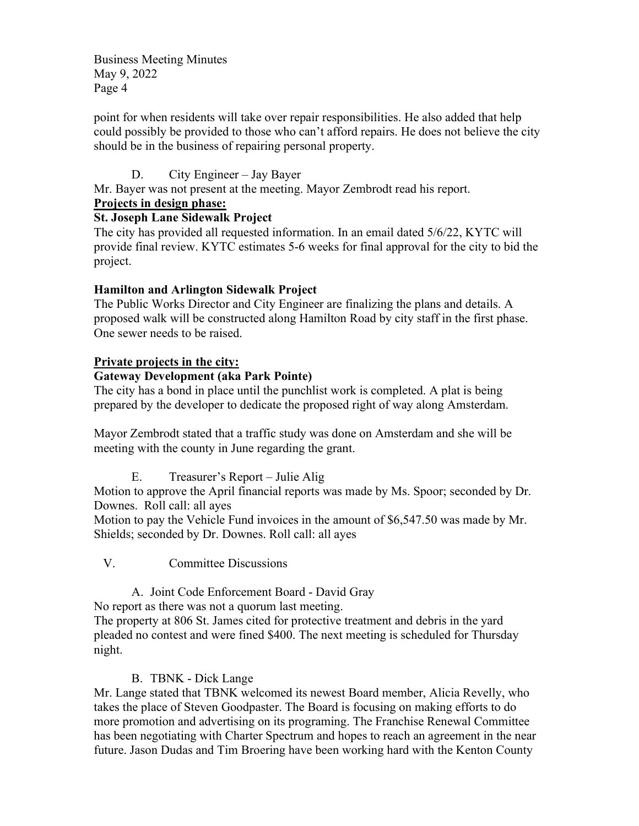point for when residents will take over repair responsibilities. He also added that help could possibly be provided to those who can't afford repairs. He does not believe the city should be in the business of repairing personal property.

D. City Engineer – Jay Bayer

Mr. Bayer was not present at the meeting. Mayor Zembrodt read his report.

## Projects in design phase:

## St. Joseph Lane Sidewalk Project

The city has provided all requested information. In an email dated 5/6/22, KYTC will provide final review. KYTC estimates 5-6 weeks for final approval for the city to bid the project.

# Hamilton and Arlington Sidewalk Project

The Public Works Director and City Engineer are finalizing the plans and details. A proposed walk will be constructed along Hamilton Road by city staff in the first phase. One sewer needs to be raised.

# Private projects in the city:

## Gateway Development (aka Park Pointe)

The city has a bond in place until the punchlist work is completed. A plat is being prepared by the developer to dedicate the proposed right of way along Amsterdam.

Mayor Zembrodt stated that a traffic study was done on Amsterdam and she will be meeting with the county in June regarding the grant.

E. Treasurer's Report – Julie Alig

Motion to approve the April financial reports was made by Ms. Spoor; seconded by Dr. Downes. Roll call: all ayes

Motion to pay the Vehicle Fund invoices in the amount of \$6,547.50 was made by Mr. Shields; seconded by Dr. Downes. Roll call: all ayes

V. Committee Discussions

A. Joint Code Enforcement Board - David Gray

No report as there was not a quorum last meeting.

The property at 806 St. James cited for protective treatment and debris in the yard pleaded no contest and were fined \$400. The next meeting is scheduled for Thursday night.

# B. TBNK - Dick Lange

Mr. Lange stated that TBNK welcomed its newest Board member, Alicia Revelly, who takes the place of Steven Goodpaster. The Board is focusing on making efforts to do more promotion and advertising on its programing. The Franchise Renewal Committee has been negotiating with Charter Spectrum and hopes to reach an agreement in the near future. Jason Dudas and Tim Broering have been working hard with the Kenton County